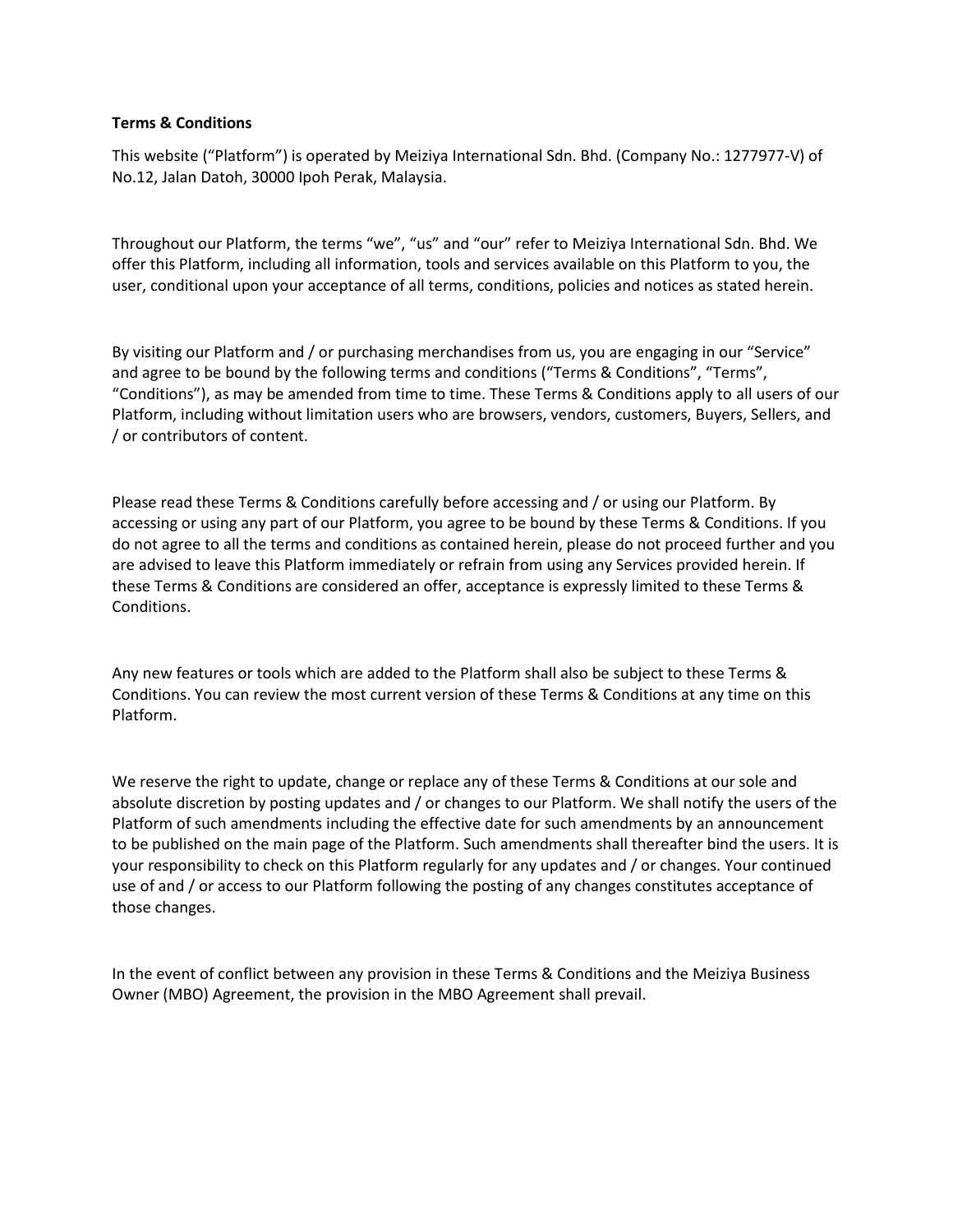#### **Terms & Conditions**

This website ("Platform") is operated by Meiziya International Sdn. Bhd. (Company No.: 1277977-V) of No.12, Jalan Datoh, 30000 Ipoh Perak, Malaysia.

Throughout our Platform, the terms "we", "us" and "our" refer to Meiziya International Sdn. Bhd. We offer this Platform, including all information, tools and services available on this Platform to you, the user, conditional upon your acceptance of all terms, conditions, policies and notices as stated herein.

By visiting our Platform and / or purchasing merchandises from us, you are engaging in our "Service" and agree to be bound by the following terms and conditions ("Terms & Conditions", "Terms", "Conditions"), as may be amended from time to time. These Terms & Conditions apply to all users of our Platform, including without limitation users who are browsers, vendors, customers, Buyers, Sellers, and / or contributors of content.

Please read these Terms & Conditions carefully before accessing and / or using our Platform. By accessing or using any part of our Platform, you agree to be bound by these Terms & Conditions. If you do not agree to all the terms and conditions as contained herein, please do not proceed further and you are advised to leave this Platform immediately or refrain from using any Services provided herein. If these Terms & Conditions are considered an offer, acceptance is expressly limited to these Terms & Conditions.

Any new features or tools which are added to the Platform shall also be subject to these Terms & Conditions. You can review the most current version of these Terms & Conditions at any time on this Platform.

We reserve the right to update, change or replace any of these Terms & Conditions at our sole and absolute discretion by posting updates and / or changes to our Platform. We shall notify the users of the Platform of such amendments including the effective date for such amendments by an announcement to be published on the main page of the Platform. Such amendments shall thereafter bind the users. It is your responsibility to check on this Platform regularly for any updates and / or changes. Your continued use of and / or access to our Platform following the posting of any changes constitutes acceptance of those changes.

In the event of conflict between any provision in these Terms & Conditions and the Meiziya Business Owner (MBO) Agreement, the provision in the MBO Agreement shall prevail.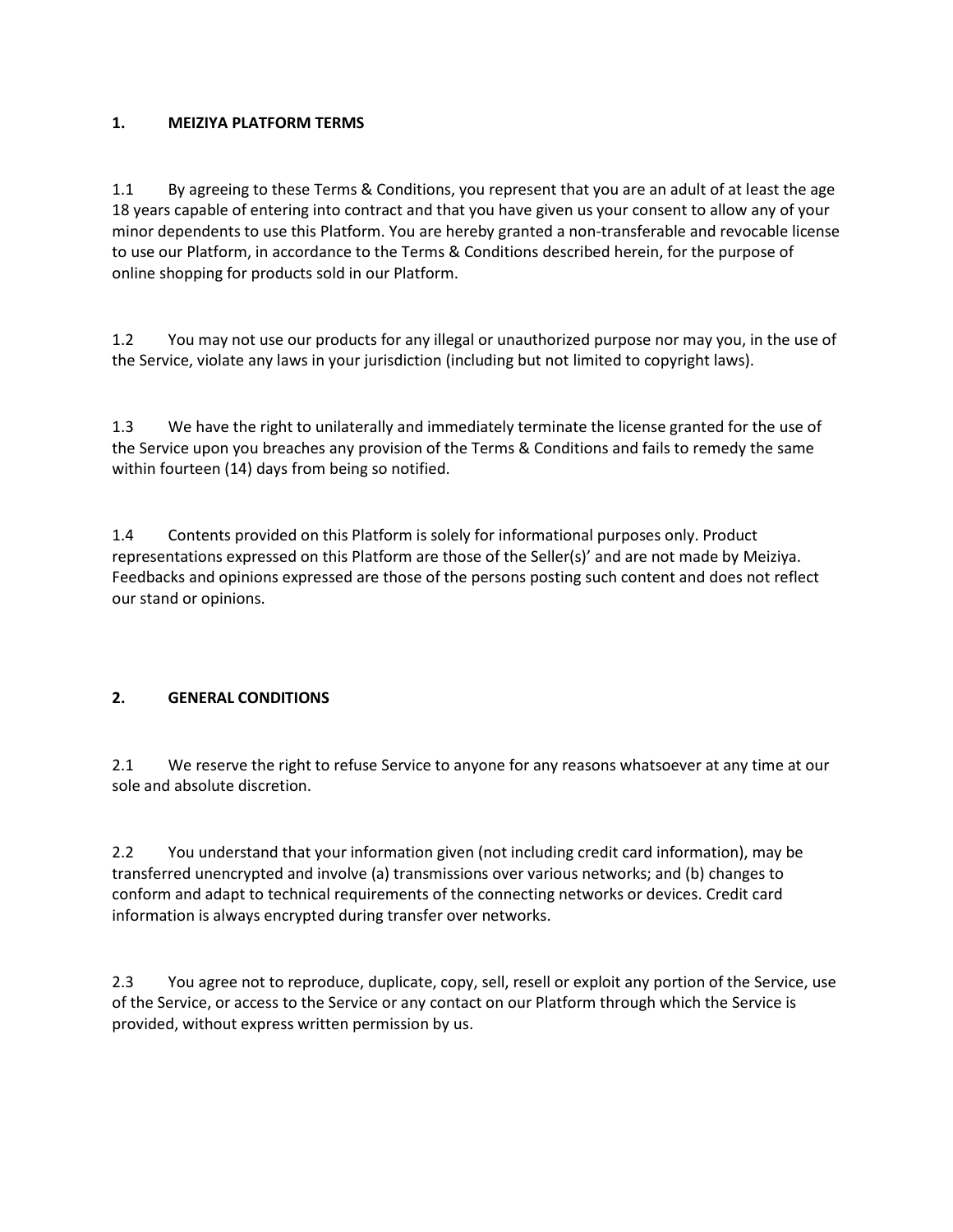# **1. MEIZIYA PLATFORM TERMS**

1.1 By agreeing to these Terms & Conditions, you represent that you are an adult of at least the age 18 years capable of entering into contract and that you have given us your consent to allow any of your minor dependents to use this Platform. You are hereby granted a non-transferable and revocable license to use our Platform, in accordance to the Terms & Conditions described herein, for the purpose of online shopping for products sold in our Platform.

1.2 You may not use our products for any illegal or unauthorized purpose nor may you, in the use of the Service, violate any laws in your jurisdiction (including but not limited to copyright laws).

1.3 We have the right to unilaterally and immediately terminate the license granted for the use of the Service upon you breaches any provision of the Terms & Conditions and fails to remedy the same within fourteen (14) days from being so notified.

1.4 Contents provided on this Platform is solely for informational purposes only. Product representations expressed on this Platform are those of the Seller(s)' and are not made by Meiziya. Feedbacks and opinions expressed are those of the persons posting such content and does not reflect our stand or opinions.

# **2. GENERAL CONDITIONS**

2.1 We reserve the right to refuse Service to anyone for any reasons whatsoever at any time at our sole and absolute discretion.

2.2 You understand that your information given (not including credit card information), may be transferred unencrypted and involve (a) transmissions over various networks; and (b) changes to conform and adapt to technical requirements of the connecting networks or devices. Credit card information is always encrypted during transfer over networks.

2.3 You agree not to reproduce, duplicate, copy, sell, resell or exploit any portion of the Service, use of the Service, or access to the Service or any contact on our Platform through which the Service is provided, without express written permission by us.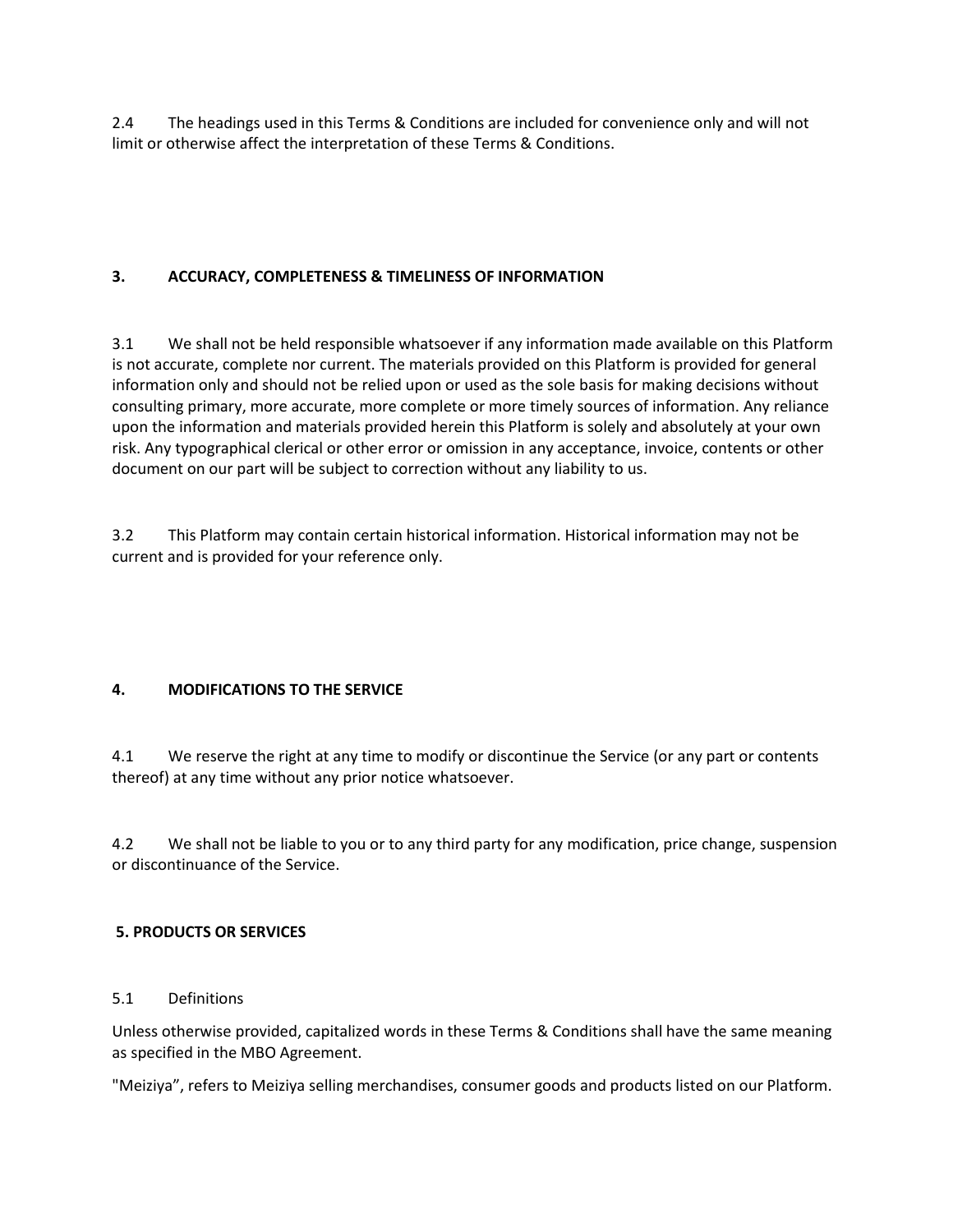2.4 The headings used in this Terms & Conditions are included for convenience only and will not limit or otherwise affect the interpretation of these Terms & Conditions.

# **3. ACCURACY, COMPLETENESS & TIMELINESS OF INFORMATION**

3.1 We shall not be held responsible whatsoever if any information made available on this Platform is not accurate, complete nor current. The materials provided on this Platform is provided for general information only and should not be relied upon or used as the sole basis for making decisions without consulting primary, more accurate, more complete or more timely sources of information. Any reliance upon the information and materials provided herein this Platform is solely and absolutely at your own risk. Any typographical clerical or other error or omission in any acceptance, invoice, contents or other document on our part will be subject to correction without any liability to us.

3.2 This Platform may contain certain historical information. Historical information may not be current and is provided for your reference only.

# **4. MODIFICATIONS TO THE SERVICE**

4.1 We reserve the right at any time to modify or discontinue the Service (or any part or contents thereof) at any time without any prior notice whatsoever.

4.2 We shall not be liable to you or to any third party for any modification, price change, suspension or discontinuance of the Service.

# **5. PRODUCTS OR SERVICES**

### 5.1 Definitions

Unless otherwise provided, capitalized words in these Terms & Conditions shall have the same meaning as specified in the MBO Agreement.

"Meiziya", refers to Meiziya selling merchandises, consumer goods and products listed on our Platform.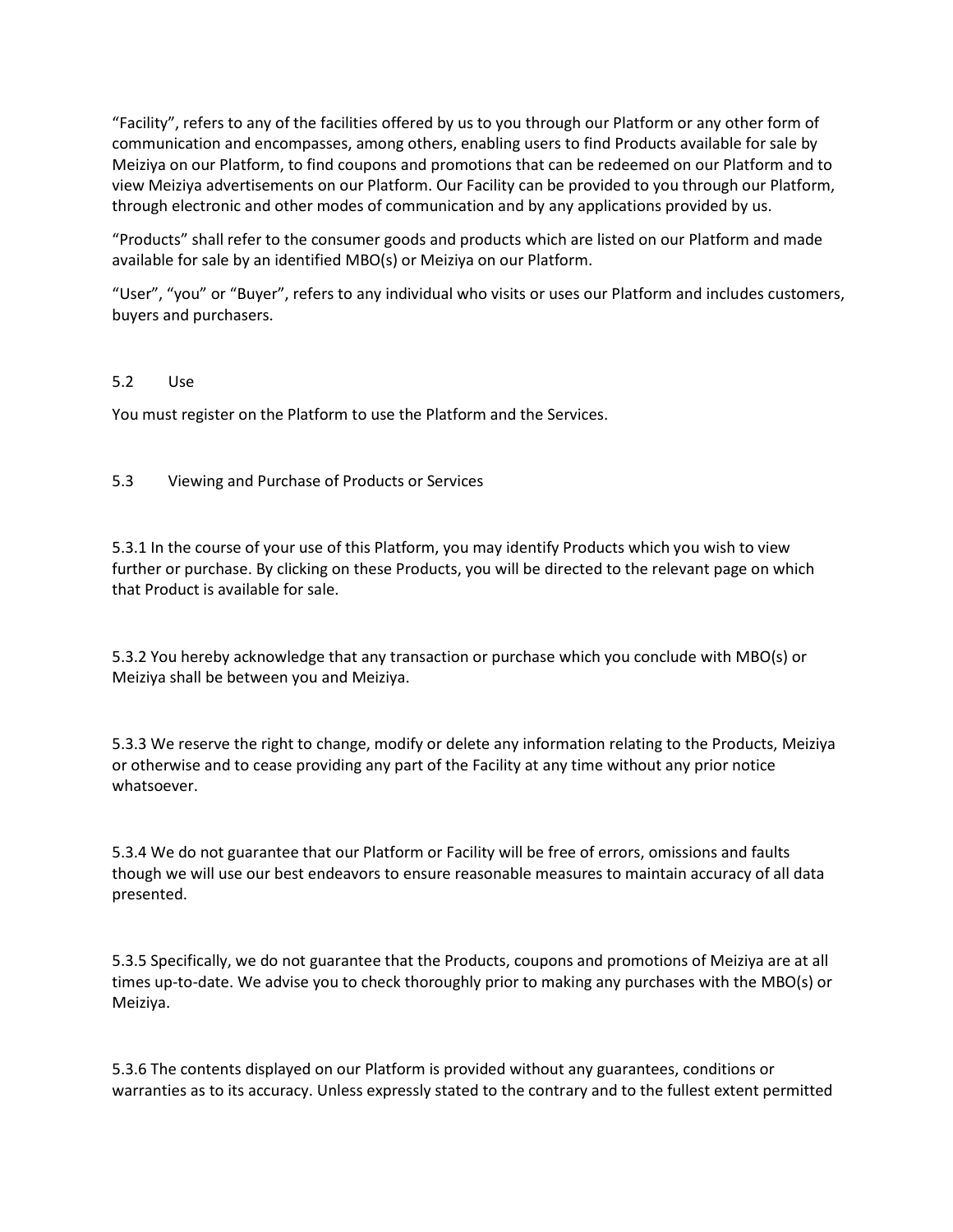"Facility", refers to any of the facilities offered by us to you through our Platform or any other form of communication and encompasses, among others, enabling users to find Products available for sale by Meiziya on our Platform, to find coupons and promotions that can be redeemed on our Platform and to view Meiziya advertisements on our Platform. Our Facility can be provided to you through our Platform, through electronic and other modes of communication and by any applications provided by us.

"Products" shall refer to the consumer goods and products which are listed on our Platform and made available for sale by an identified MBO(s) or Meiziya on our Platform.

"User", "you" or "Buyer", refers to any individual who visits or uses our Platform and includes customers, buyers and purchasers.

### 5.2 Use

You must register on the Platform to use the Platform and the Services.

5.3 Viewing and Purchase of Products or Services

5.3.1 In the course of your use of this Platform, you may identify Products which you wish to view further or purchase. By clicking on these Products, you will be directed to the relevant page on which that Product is available for sale.

5.3.2 You hereby acknowledge that any transaction or purchase which you conclude with MBO(s) or Meiziya shall be between you and Meiziya.

5.3.3 We reserve the right to change, modify or delete any information relating to the Products, Meiziya or otherwise and to cease providing any part of the Facility at any time without any prior notice whatsoever.

5.3.4 We do not guarantee that our Platform or Facility will be free of errors, omissions and faults though we will use our best endeavors to ensure reasonable measures to maintain accuracy of all data presented.

5.3.5 Specifically, we do not guarantee that the Products, coupons and promotions of Meiziya are at all times up-to-date. We advise you to check thoroughly prior to making any purchases with the MBO(s) or Meiziya.

5.3.6 The contents displayed on our Platform is provided without any guarantees, conditions or warranties as to its accuracy. Unless expressly stated to the contrary and to the fullest extent permitted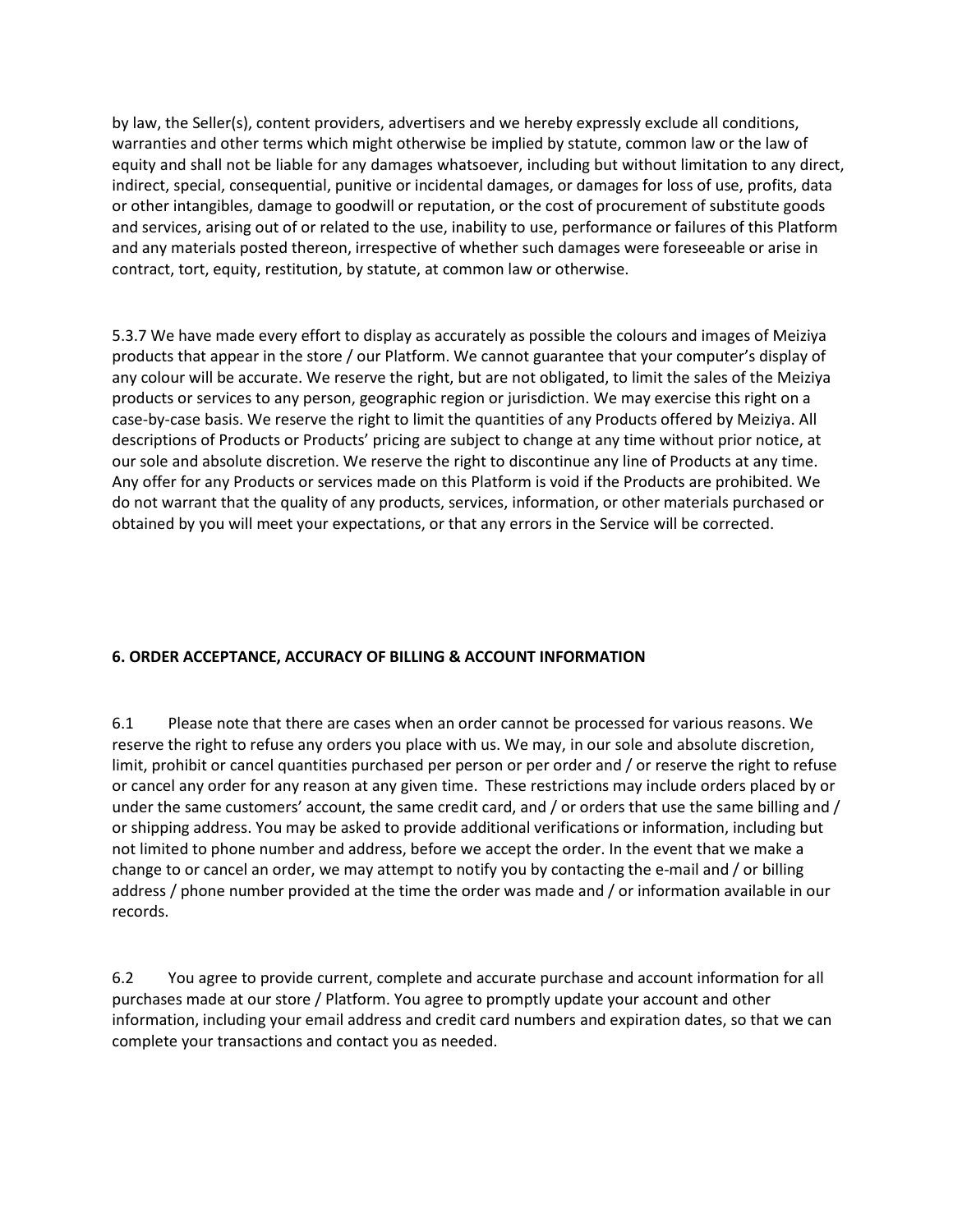by law, the Seller(s), content providers, advertisers and we hereby expressly exclude all conditions, warranties and other terms which might otherwise be implied by statute, common law or the law of equity and shall not be liable for any damages whatsoever, including but without limitation to any direct, indirect, special, consequential, punitive or incidental damages, or damages for loss of use, profits, data or other intangibles, damage to goodwill or reputation, or the cost of procurement of substitute goods and services, arising out of or related to the use, inability to use, performance or failures of this Platform and any materials posted thereon, irrespective of whether such damages were foreseeable or arise in contract, tort, equity, restitution, by statute, at common law or otherwise.

5.3.7 We have made every effort to display as accurately as possible the colours and images of Meiziya products that appear in the store / our Platform. We cannot guarantee that your computer's display of any colour will be accurate. We reserve the right, but are not obligated, to limit the sales of the Meiziya products or services to any person, geographic region or jurisdiction. We may exercise this right on a case-by-case basis. We reserve the right to limit the quantities of any Products offered by Meiziya. All descriptions of Products or Products' pricing are subject to change at any time without prior notice, at our sole and absolute discretion. We reserve the right to discontinue any line of Products at any time. Any offer for any Products or services made on this Platform is void if the Products are prohibited. We do not warrant that the quality of any products, services, information, or other materials purchased or obtained by you will meet your expectations, or that any errors in the Service will be corrected.

# **6. ORDER ACCEPTANCE, ACCURACY OF BILLING & ACCOUNT INFORMATION**

6.1 Please note that there are cases when an order cannot be processed for various reasons. We reserve the right to refuse any orders you place with us. We may, in our sole and absolute discretion, limit, prohibit or cancel quantities purchased per person or per order and / or reserve the right to refuse or cancel any order for any reason at any given time. These restrictions may include orders placed by or under the same customers' account, the same credit card, and / or orders that use the same billing and / or shipping address. You may be asked to provide additional verifications or information, including but not limited to phone number and address, before we accept the order. In the event that we make a change to or cancel an order, we may attempt to notify you by contacting the e-mail and / or billing address / phone number provided at the time the order was made and / or information available in our records.

6.2 You agree to provide current, complete and accurate purchase and account information for all purchases made at our store / Platform. You agree to promptly update your account and other information, including your email address and credit card numbers and expiration dates, so that we can complete your transactions and contact you as needed.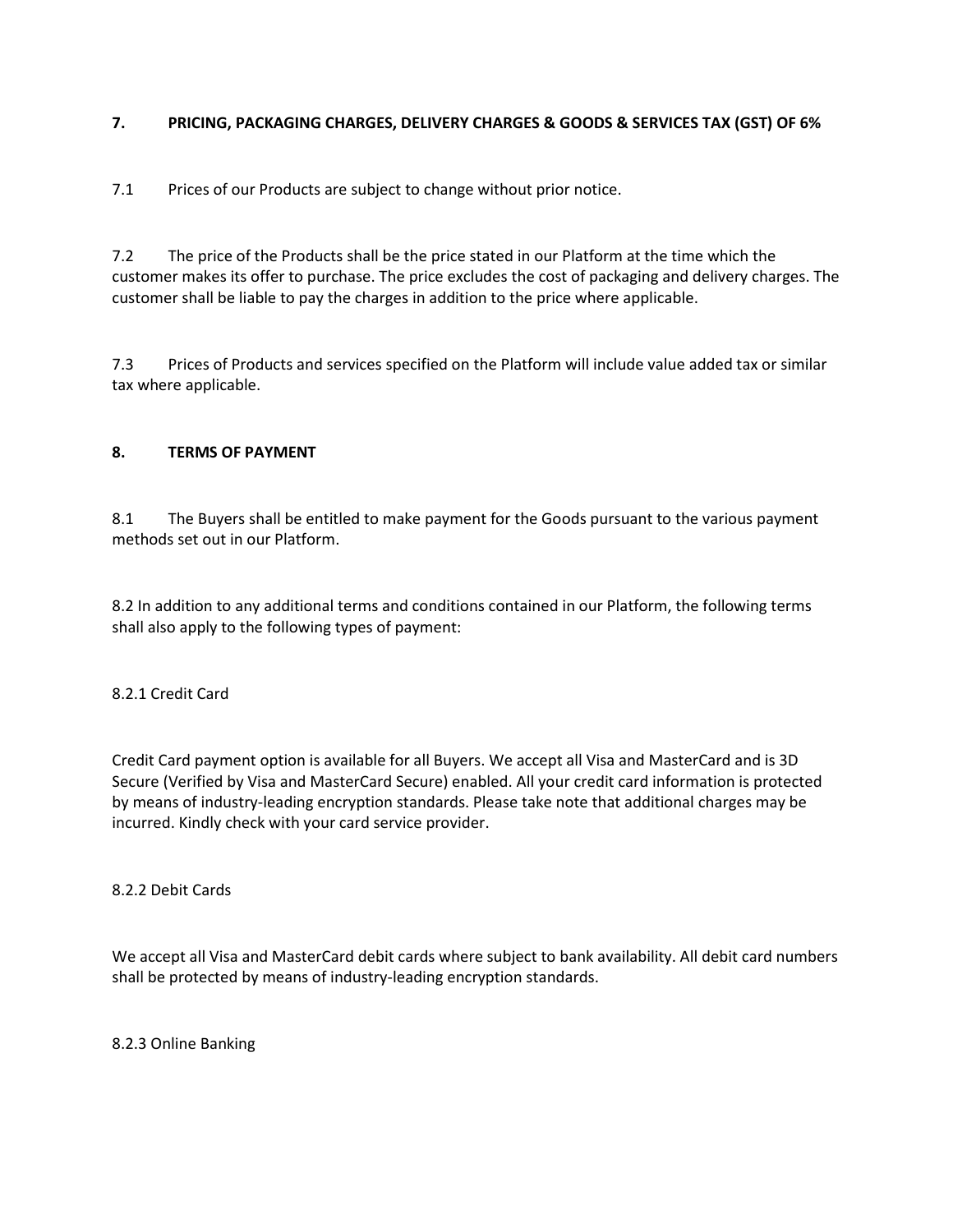# **7. PRICING, PACKAGING CHARGES, DELIVERY CHARGES & GOODS & SERVICES TAX (GST) OF 6%**

7.1 Prices of our Products are subject to change without prior notice.

7.2 The price of the Products shall be the price stated in our Platform at the time which the customer makes its offer to purchase. The price excludes the cost of packaging and delivery charges. The customer shall be liable to pay the charges in addition to the price where applicable.

7.3 Prices of Products and services specified on the Platform will include value added tax or similar tax where applicable.

# **8. TERMS OF PAYMENT**

8.1 The Buyers shall be entitled to make payment for the Goods pursuant to the various payment methods set out in our Platform.

8.2 In addition to any additional terms and conditions contained in our Platform, the following terms shall also apply to the following types of payment:

### 8.2.1 Credit Card

Credit Card payment option is available for all Buyers. We accept all Visa and MasterCard and is 3D Secure (Verified by Visa and MasterCard Secure) enabled. All your credit card information is protected by means of industry-leading encryption standards. Please take note that additional charges may be incurred. Kindly check with your card service provider.

### 8.2.2 Debit Cards

We accept all Visa and MasterCard debit cards where subject to bank availability. All debit card numbers shall be protected by means of industry-leading encryption standards.

8.2.3 Online Banking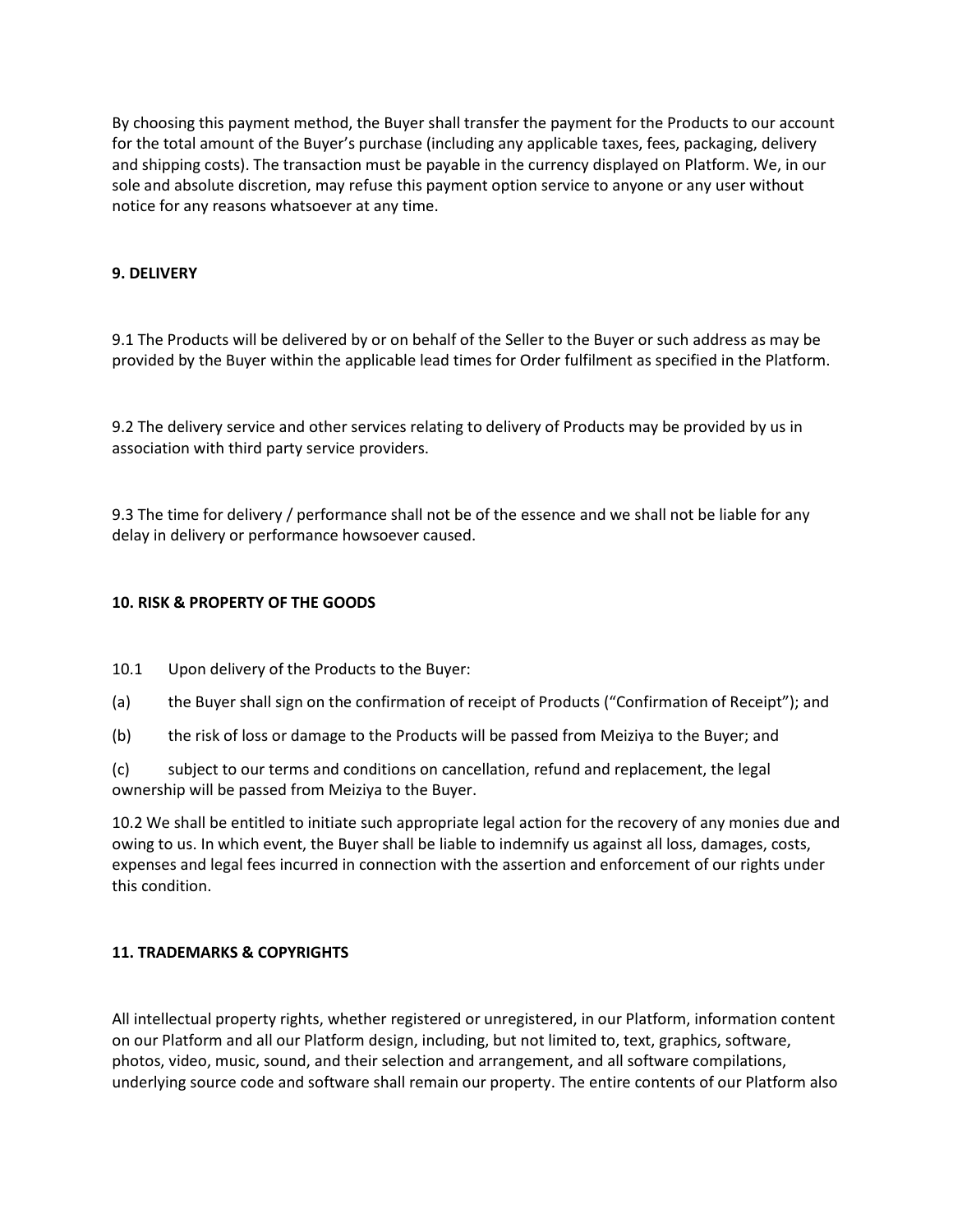By choosing this payment method, the Buyer shall transfer the payment for the Products to our account for the total amount of the Buyer's purchase (including any applicable taxes, fees, packaging, delivery and shipping costs). The transaction must be payable in the currency displayed on Platform. We, in our sole and absolute discretion, may refuse this payment option service to anyone or any user without notice for any reasons whatsoever at any time.

# **9. DELIVERY**

9.1 The Products will be delivered by or on behalf of the Seller to the Buyer or such address as may be provided by the Buyer within the applicable lead times for Order fulfilment as specified in the Platform.

9.2 The delivery service and other services relating to delivery of Products may be provided by us in association with third party service providers.

9.3 The time for delivery / performance shall not be of the essence and we shall not be liable for any delay in delivery or performance howsoever caused.

### **10. RISK & PROPERTY OF THE GOODS**

- 10.1 Upon delivery of the Products to the Buyer:
- (a) the Buyer shall sign on the confirmation of receipt of Products ("Confirmation of Receipt"); and
- (b) the risk of loss or damage to the Products will be passed from Meiziya to the Buyer; and

(c) subject to our terms and conditions on cancellation, refund and replacement, the legal ownership will be passed from Meiziya to the Buyer.

10.2 We shall be entitled to initiate such appropriate legal action for the recovery of any monies due and owing to us. In which event, the Buyer shall be liable to indemnify us against all loss, damages, costs, expenses and legal fees incurred in connection with the assertion and enforcement of our rights under this condition.

### **11. TRADEMARKS & COPYRIGHTS**

All intellectual property rights, whether registered or unregistered, in our Platform, information content on our Platform and all our Platform design, including, but not limited to, text, graphics, software, photos, video, music, sound, and their selection and arrangement, and all software compilations, underlying source code and software shall remain our property. The entire contents of our Platform also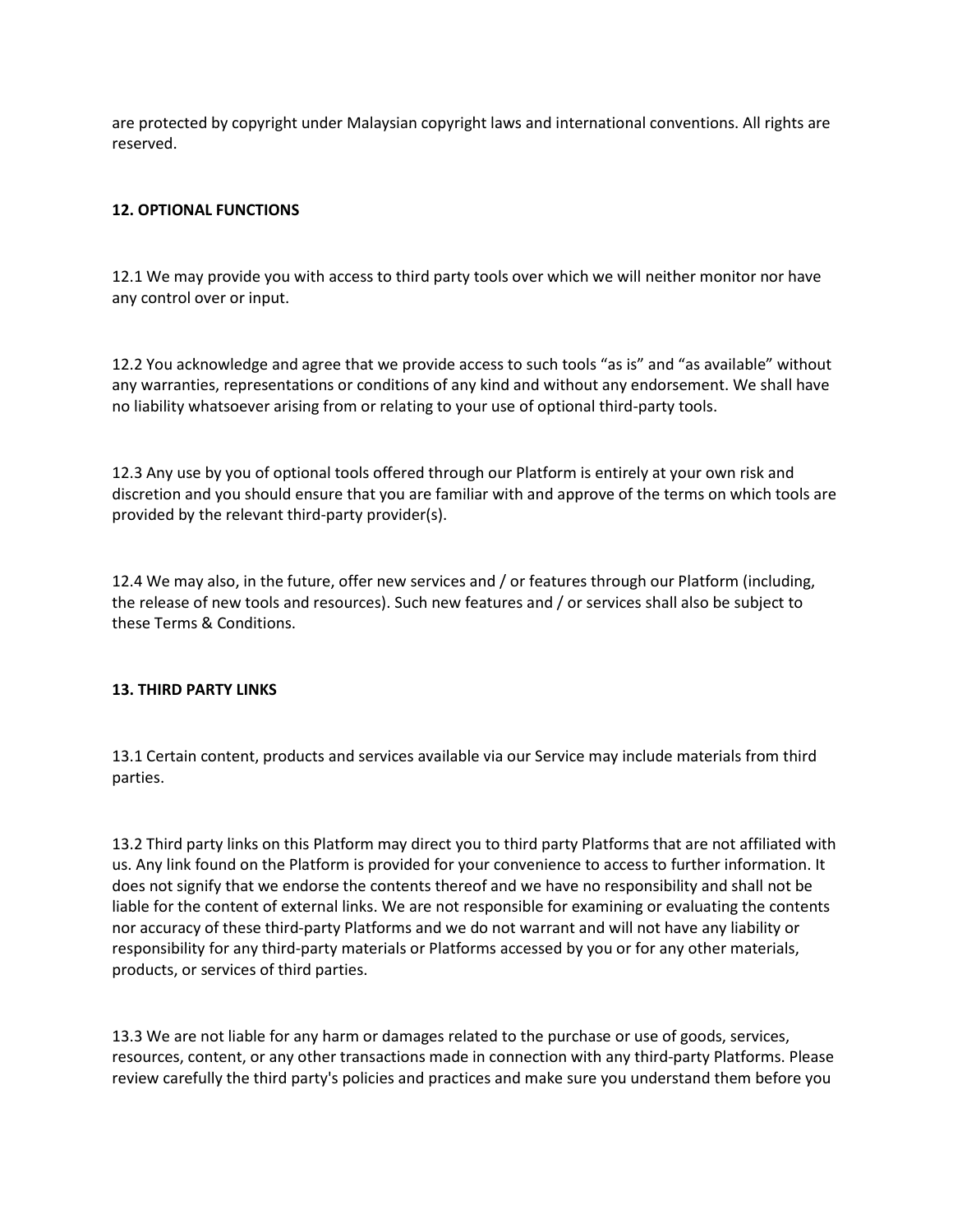are protected by copyright under Malaysian copyright laws and international conventions. All rights are reserved.

# **12. OPTIONAL FUNCTIONS**

12.1 We may provide you with access to third party tools over which we will neither monitor nor have any control over or input.

12.2 You acknowledge and agree that we provide access to such tools "as is" and "as available" without any warranties, representations or conditions of any kind and without any endorsement. We shall have no liability whatsoever arising from or relating to your use of optional third-party tools.

12.3 Any use by you of optional tools offered through our Platform is entirely at your own risk and discretion and you should ensure that you are familiar with and approve of the terms on which tools are provided by the relevant third-party provider(s).

12.4 We may also, in the future, offer new services and / or features through our Platform (including, the release of new tools and resources). Such new features and / or services shall also be subject to these Terms & Conditions.

### **13. THIRD PARTY LINKS**

13.1 Certain content, products and services available via our Service may include materials from third parties.

13.2 Third party links on this Platform may direct you to third party Platforms that are not affiliated with us. Any link found on the Platform is provided for your convenience to access to further information. It does not signify that we endorse the contents thereof and we have no responsibility and shall not be liable for the content of external links. We are not responsible for examining or evaluating the contents nor accuracy of these third-party Platforms and we do not warrant and will not have any liability or responsibility for any third-party materials or Platforms accessed by you or for any other materials, products, or services of third parties.

13.3 We are not liable for any harm or damages related to the purchase or use of goods, services, resources, content, or any other transactions made in connection with any third-party Platforms. Please review carefully the third party's policies and practices and make sure you understand them before you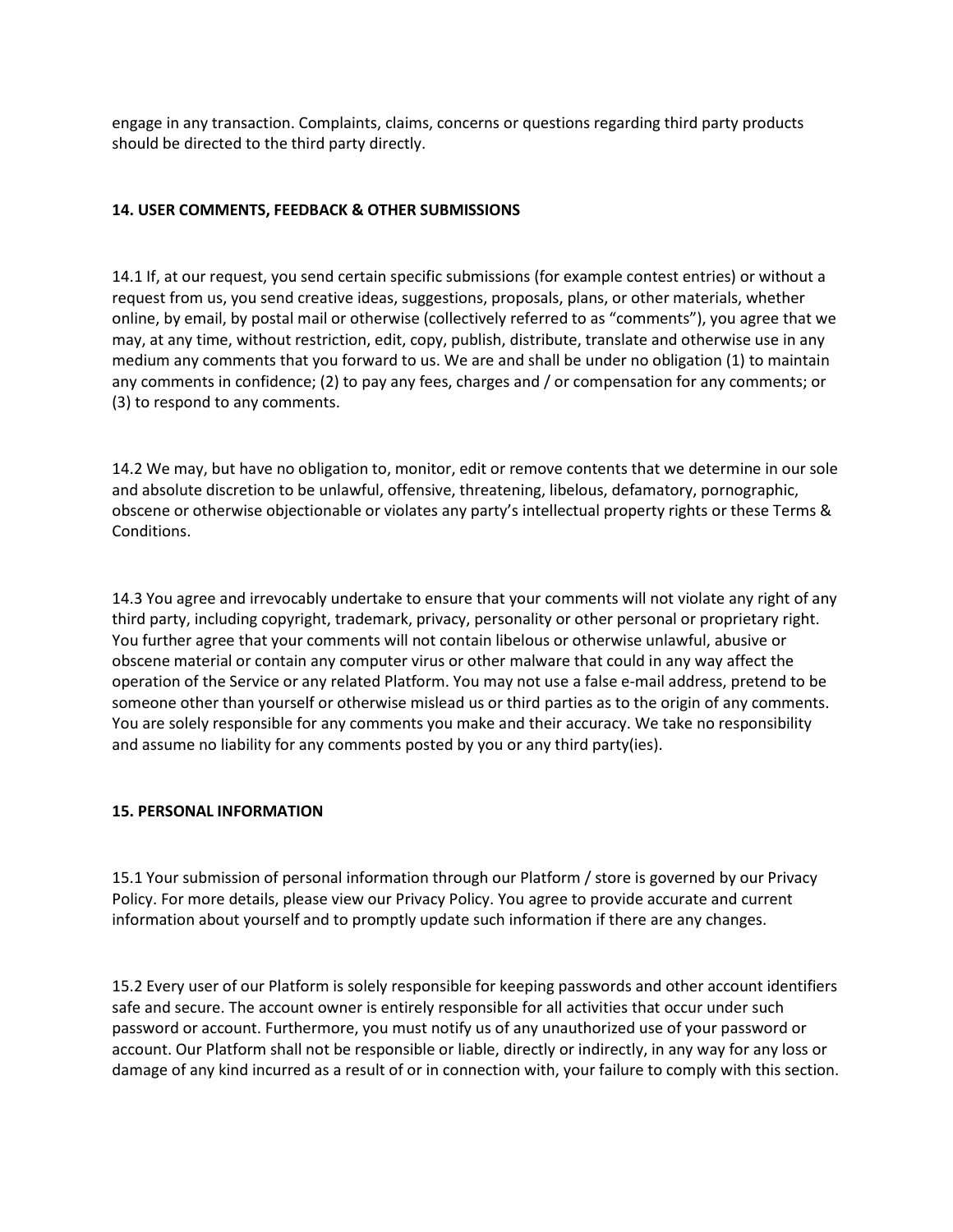engage in any transaction. Complaints, claims, concerns or questions regarding third party products should be directed to the third party directly.

# **14. USER COMMENTS, FEEDBACK & OTHER SUBMISSIONS**

14.1 If, at our request, you send certain specific submissions (for example contest entries) or without a request from us, you send creative ideas, suggestions, proposals, plans, or other materials, whether online, by email, by postal mail or otherwise (collectively referred to as "comments"), you agree that we may, at any time, without restriction, edit, copy, publish, distribute, translate and otherwise use in any medium any comments that you forward to us. We are and shall be under no obligation (1) to maintain any comments in confidence; (2) to pay any fees, charges and / or compensation for any comments; or (3) to respond to any comments.

14.2 We may, but have no obligation to, monitor, edit or remove contents that we determine in our sole and absolute discretion to be unlawful, offensive, threatening, libelous, defamatory, pornographic, obscene or otherwise objectionable or violates any party's intellectual property rights or these Terms & Conditions.

14.3 You agree and irrevocably undertake to ensure that your comments will not violate any right of any third party, including copyright, trademark, privacy, personality or other personal or proprietary right. You further agree that your comments will not contain libelous or otherwise unlawful, abusive or obscene material or contain any computer virus or other malware that could in any way affect the operation of the Service or any related Platform. You may not use a false e-mail address, pretend to be someone other than yourself or otherwise mislead us or third parties as to the origin of any comments. You are solely responsible for any comments you make and their accuracy. We take no responsibility and assume no liability for any comments posted by you or any third party(ies).

#### **15. PERSONAL INFORMATION**

15.1 Your submission of personal information through our Platform / store is governed by our Privacy Policy. For more details, please view our Privacy Policy. You agree to provide accurate and current information about yourself and to promptly update such information if there are any changes.

15.2 Every user of our Platform is solely responsible for keeping passwords and other account identifiers safe and secure. The account owner is entirely responsible for all activities that occur under such password or account. Furthermore, you must notify us of any unauthorized use of your password or account. Our Platform shall not be responsible or liable, directly or indirectly, in any way for any loss or damage of any kind incurred as a result of or in connection with, your failure to comply with this section.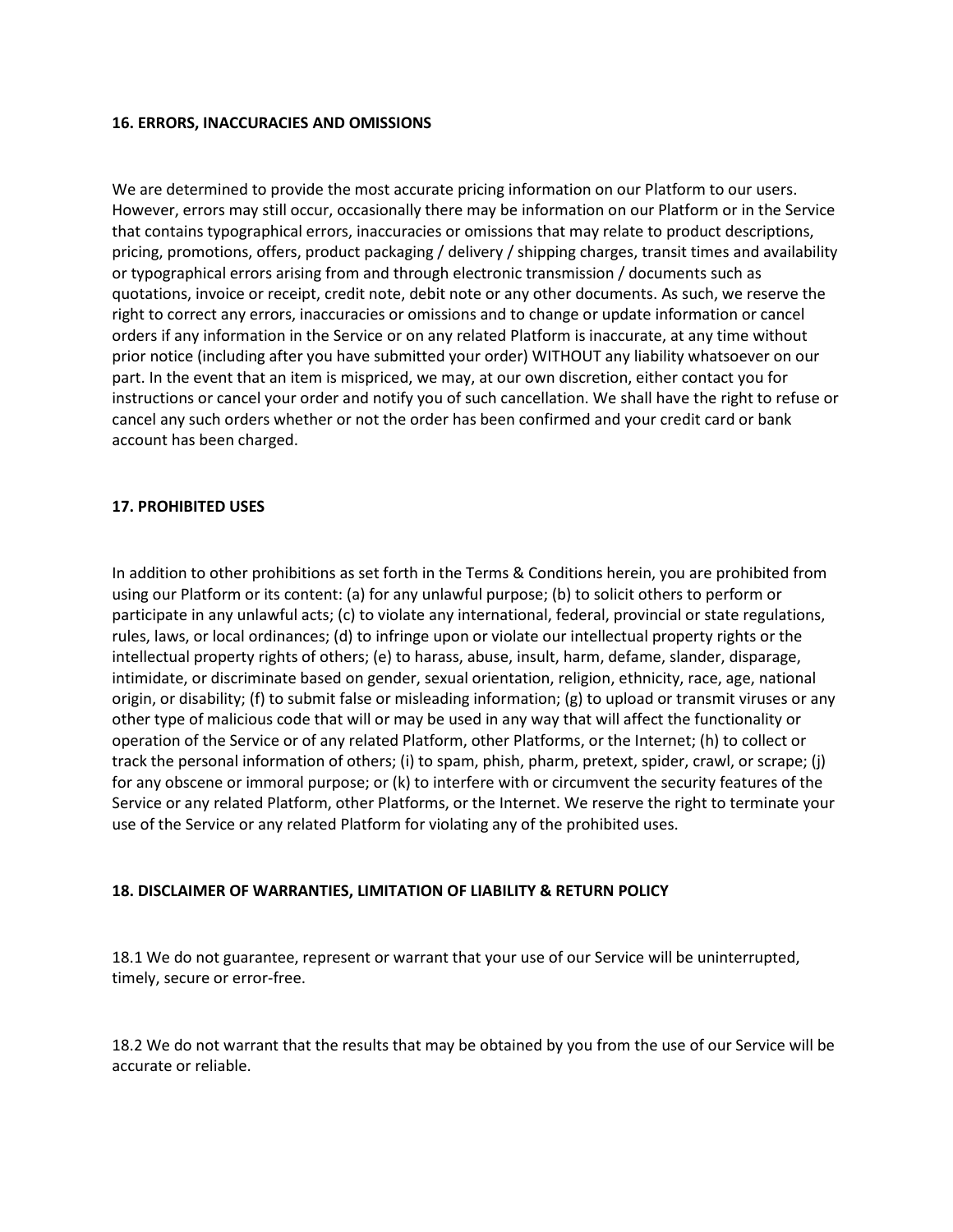#### **16. ERRORS, INACCURACIES AND OMISSIONS**

We are determined to provide the most accurate pricing information on our Platform to our users. However, errors may still occur, occasionally there may be information on our Platform or in the Service that contains typographical errors, inaccuracies or omissions that may relate to product descriptions, pricing, promotions, offers, product packaging / delivery / shipping charges, transit times and availability or typographical errors arising from and through electronic transmission / documents such as quotations, invoice or receipt, credit note, debit note or any other documents. As such, we reserve the right to correct any errors, inaccuracies or omissions and to change or update information or cancel orders if any information in the Service or on any related Platform is inaccurate, at any time without prior notice (including after you have submitted your order) WITHOUT any liability whatsoever on our part. In the event that an item is mispriced, we may, at our own discretion, either contact you for instructions or cancel your order and notify you of such cancellation. We shall have the right to refuse or cancel any such orders whether or not the order has been confirmed and your credit card or bank account has been charged.

#### **17. PROHIBITED USES**

In addition to other prohibitions as set forth in the Terms & Conditions herein, you are prohibited from using our Platform or its content: (a) for any unlawful purpose; (b) to solicit others to perform or participate in any unlawful acts; (c) to violate any international, federal, provincial or state regulations, rules, laws, or local ordinances; (d) to infringe upon or violate our intellectual property rights or the intellectual property rights of others; (e) to harass, abuse, insult, harm, defame, slander, disparage, intimidate, or discriminate based on gender, sexual orientation, religion, ethnicity, race, age, national origin, or disability; (f) to submit false or misleading information; (g) to upload or transmit viruses or any other type of malicious code that will or may be used in any way that will affect the functionality or operation of the Service or of any related Platform, other Platforms, or the Internet; (h) to collect or track the personal information of others; (i) to spam, phish, pharm, pretext, spider, crawl, or scrape; (j) for any obscene or immoral purpose; or (k) to interfere with or circumvent the security features of the Service or any related Platform, other Platforms, or the Internet. We reserve the right to terminate your use of the Service or any related Platform for violating any of the prohibited uses.

### **18. DISCLAIMER OF WARRANTIES, LIMITATION OF LIABILITY & RETURN POLICY**

18.1 We do not guarantee, represent or warrant that your use of our Service will be uninterrupted, timely, secure or error-free.

18.2 We do not warrant that the results that may be obtained by you from the use of our Service will be accurate or reliable.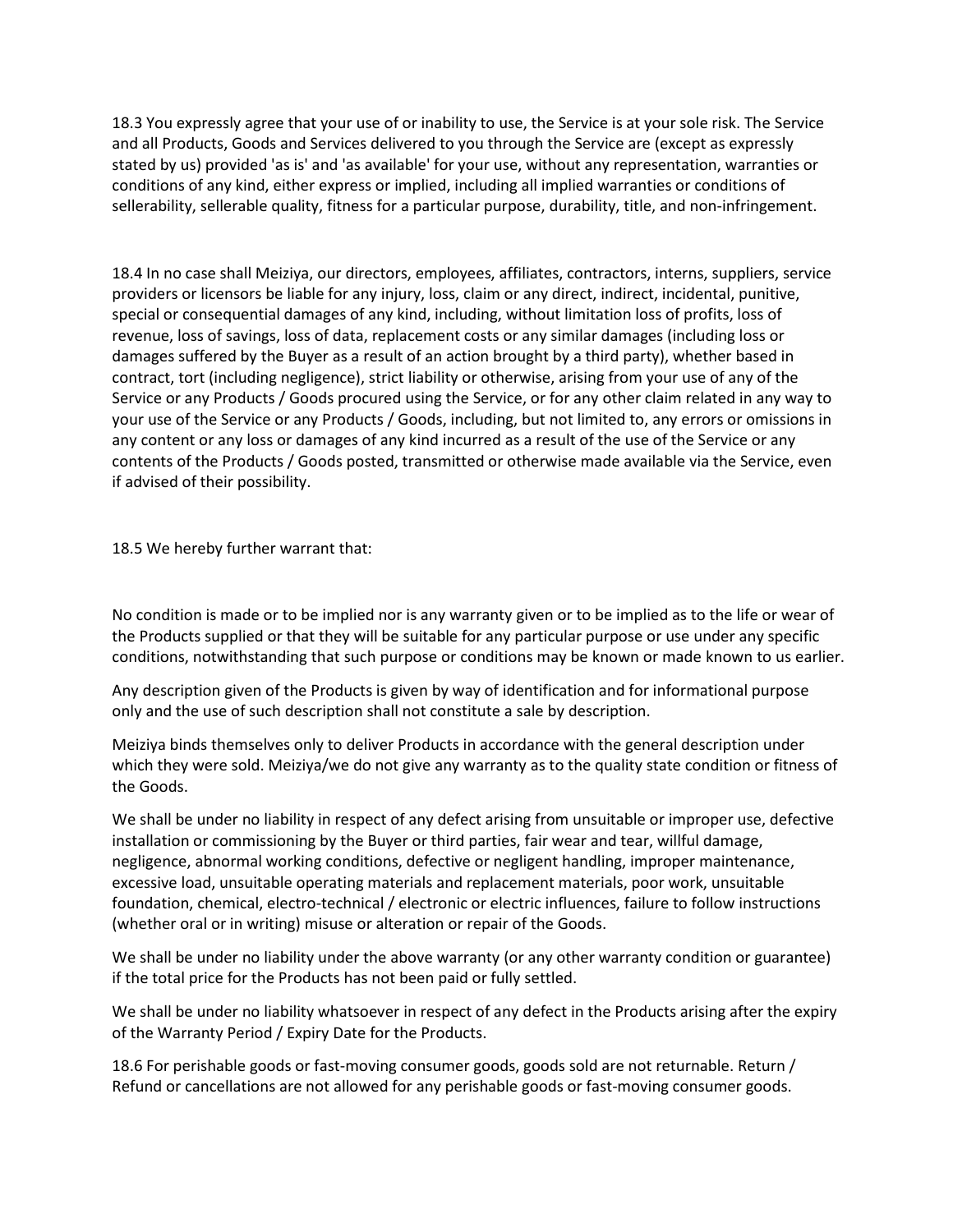18.3 You expressly agree that your use of or inability to use, the Service is at your sole risk. The Service and all Products, Goods and Services delivered to you through the Service are (except as expressly stated by us) provided 'as is' and 'as available' for your use, without any representation, warranties or conditions of any kind, either express or implied, including all implied warranties or conditions of sellerability, sellerable quality, fitness for a particular purpose, durability, title, and non-infringement.

18.4 In no case shall Meiziya, our directors, employees, affiliates, contractors, interns, suppliers, service providers or licensors be liable for any injury, loss, claim or any direct, indirect, incidental, punitive, special or consequential damages of any kind, including, without limitation loss of profits, loss of revenue, loss of savings, loss of data, replacement costs or any similar damages (including loss or damages suffered by the Buyer as a result of an action brought by a third party), whether based in contract, tort (including negligence), strict liability or otherwise, arising from your use of any of the Service or any Products / Goods procured using the Service, or for any other claim related in any way to your use of the Service or any Products / Goods, including, but not limited to, any errors or omissions in any content or any loss or damages of any kind incurred as a result of the use of the Service or any contents of the Products / Goods posted, transmitted or otherwise made available via the Service, even if advised of their possibility.

18.5 We hereby further warrant that:

No condition is made or to be implied nor is any warranty given or to be implied as to the life or wear of the Products supplied or that they will be suitable for any particular purpose or use under any specific conditions, notwithstanding that such purpose or conditions may be known or made known to us earlier.

Any description given of the Products is given by way of identification and for informational purpose only and the use of such description shall not constitute a sale by description.

Meiziya binds themselves only to deliver Products in accordance with the general description under which they were sold. Meiziya/we do not give any warranty as to the quality state condition or fitness of the Goods.

We shall be under no liability in respect of any defect arising from unsuitable or improper use, defective installation or commissioning by the Buyer or third parties, fair wear and tear, willful damage, negligence, abnormal working conditions, defective or negligent handling, improper maintenance, excessive load, unsuitable operating materials and replacement materials, poor work, unsuitable foundation, chemical, electro-technical / electronic or electric influences, failure to follow instructions (whether oral or in writing) misuse or alteration or repair of the Goods.

We shall be under no liability under the above warranty (or any other warranty condition or guarantee) if the total price for the Products has not been paid or fully settled.

We shall be under no liability whatsoever in respect of any defect in the Products arising after the expiry of the Warranty Period / Expiry Date for the Products.

18.6 For perishable goods or fast-moving consumer goods, goods sold are not returnable. Return / Refund or cancellations are not allowed for any perishable goods or fast-moving consumer goods.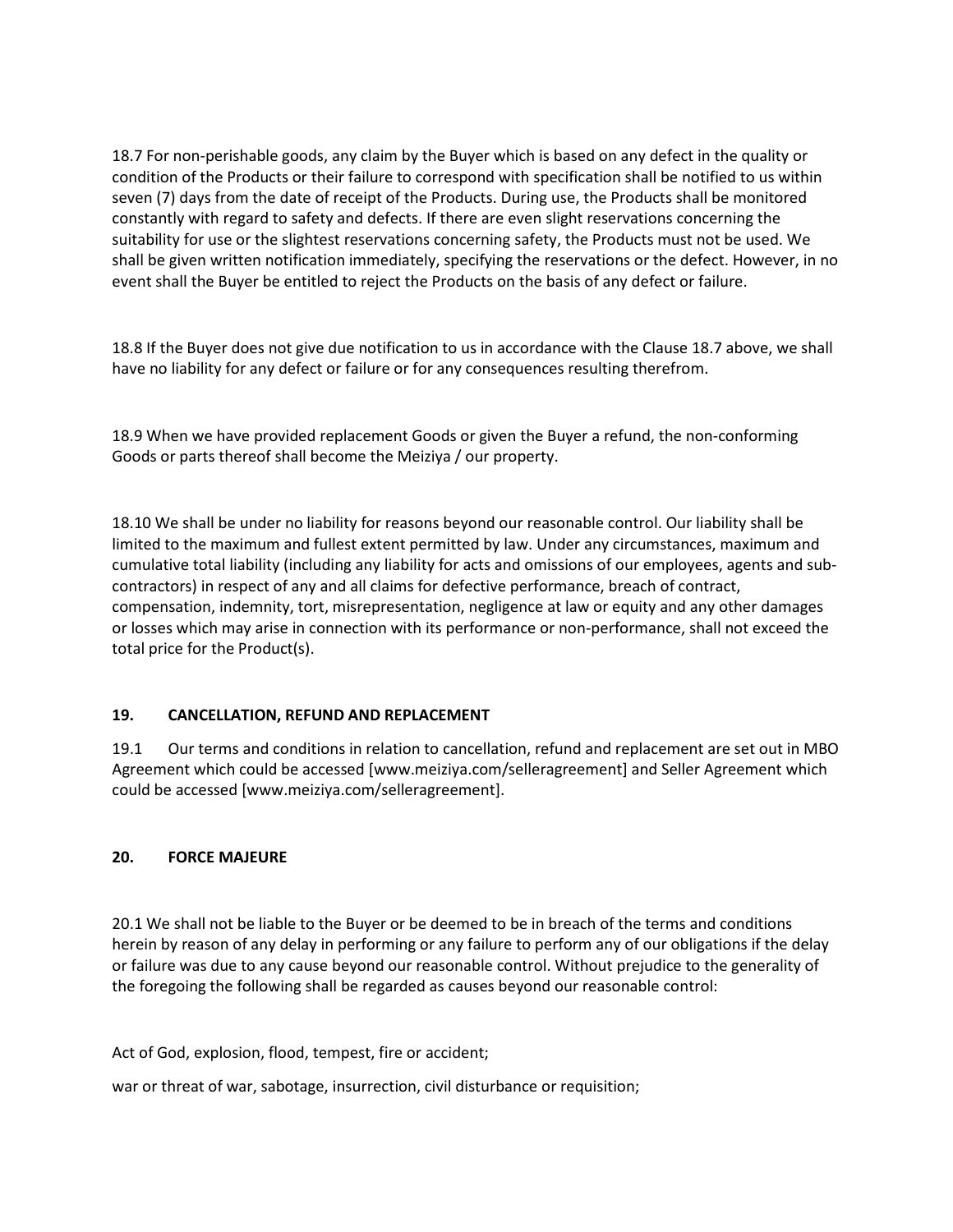18.7 For non-perishable goods, any claim by the Buyer which is based on any defect in the quality or condition of the Products or their failure to correspond with specification shall be notified to us within seven (7) days from the date of receipt of the Products. During use, the Products shall be monitored constantly with regard to safety and defects. If there are even slight reservations concerning the suitability for use or the slightest reservations concerning safety, the Products must not be used. We shall be given written notification immediately, specifying the reservations or the defect. However, in no event shall the Buyer be entitled to reject the Products on the basis of any defect or failure.

18.8 If the Buyer does not give due notification to us in accordance with the Clause 18.7 above, we shall have no liability for any defect or failure or for any consequences resulting therefrom.

18.9 When we have provided replacement Goods or given the Buyer a refund, the non-conforming Goods or parts thereof shall become the Meiziya / our property.

18.10 We shall be under no liability for reasons beyond our reasonable control. Our liability shall be limited to the maximum and fullest extent permitted by law. Under any circumstances, maximum and cumulative total liability (including any liability for acts and omissions of our employees, agents and subcontractors) in respect of any and all claims for defective performance, breach of contract, compensation, indemnity, tort, misrepresentation, negligence at law or equity and any other damages or losses which may arise in connection with its performance or non-performance, shall not exceed the total price for the Product(s).

# **19. CANCELLATION, REFUND AND REPLACEMENT**

19.1 Our terms and conditions in relation to cancellation, refund and replacement are set out in MBO Agreement which could be accessed [www.meiziya.com/selleragreement] and Seller Agreement which could be accessed [www.meiziya.com/selleragreement].

### **20. FORCE MAJEURE**

20.1 We shall not be liable to the Buyer or be deemed to be in breach of the terms and conditions herein by reason of any delay in performing or any failure to perform any of our obligations if the delay or failure was due to any cause beyond our reasonable control. Without prejudice to the generality of the foregoing the following shall be regarded as causes beyond our reasonable control:

Act of God, explosion, flood, tempest, fire or accident;

war or threat of war, sabotage, insurrection, civil disturbance or requisition;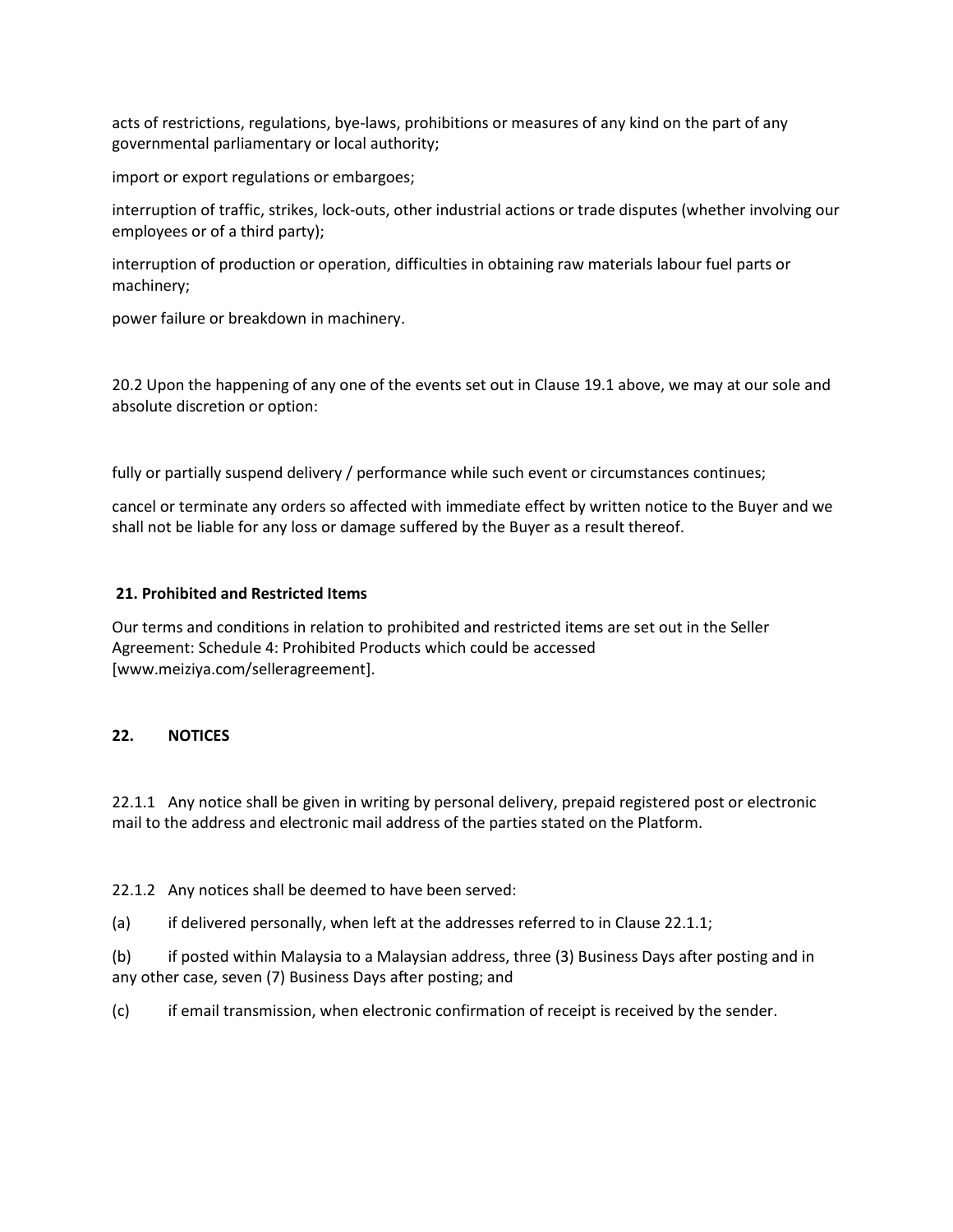acts of restrictions, regulations, bye-laws, prohibitions or measures of any kind on the part of any governmental parliamentary or local authority;

import or export regulations or embargoes;

interruption of traffic, strikes, lock-outs, other industrial actions or trade disputes (whether involving our employees or of a third party);

interruption of production or operation, difficulties in obtaining raw materials labour fuel parts or machinery;

power failure or breakdown in machinery.

20.2 Upon the happening of any one of the events set out in Clause 19.1 above, we may at our sole and absolute discretion or option:

fully or partially suspend delivery / performance while such event or circumstances continues;

cancel or terminate any orders so affected with immediate effect by written notice to the Buyer and we shall not be liable for any loss or damage suffered by the Buyer as a result thereof.

#### **21. Prohibited and Restricted Items**

Our terms and conditions in relation to prohibited and restricted items are set out in the Seller Agreement: Schedule 4: Prohibited Products which could be accessed [www.meiziya.com/selleragreement].

### **22. NOTICES**

22.1.1 Any notice shall be given in writing by personal delivery, prepaid registered post or electronic mail to the address and electronic mail address of the parties stated on the Platform.

22.1.2 Any notices shall be deemed to have been served:

(a) if delivered personally, when left at the addresses referred to in Clause 22.1.1;

(b) if posted within Malaysia to a Malaysian address, three (3) Business Days after posting and in any other case, seven (7) Business Days after posting; and

(c) if email transmission, when electronic confirmation of receipt is received by the sender.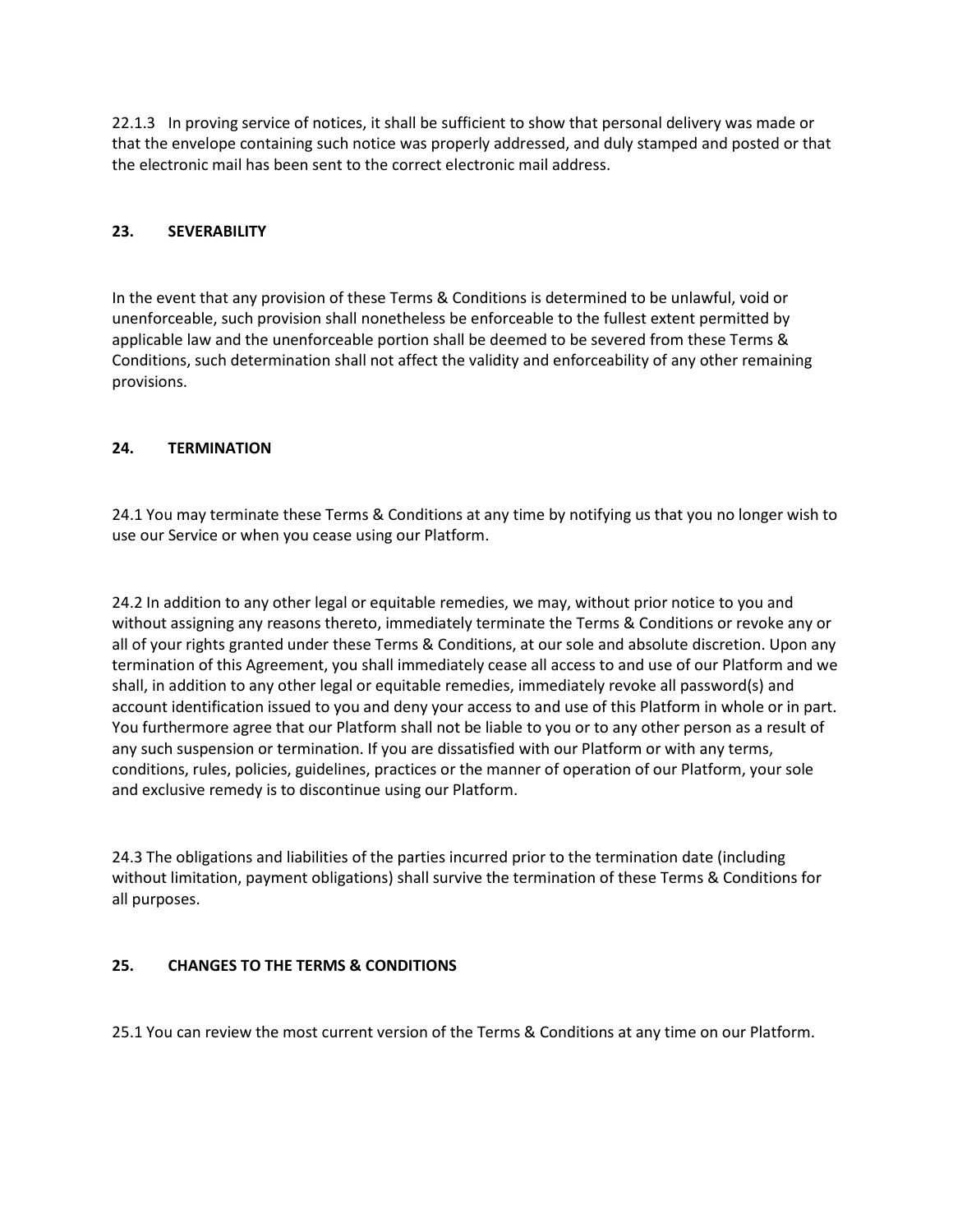22.1.3 In proving service of notices, it shall be sufficient to show that personal delivery was made or that the envelope containing such notice was properly addressed, and duly stamped and posted or that the electronic mail has been sent to the correct electronic mail address.

## **23. SEVERABILITY**

In the event that any provision of these Terms & Conditions is determined to be unlawful, void or unenforceable, such provision shall nonetheless be enforceable to the fullest extent permitted by applicable law and the unenforceable portion shall be deemed to be severed from these Terms & Conditions, such determination shall not affect the validity and enforceability of any other remaining provisions.

# **24. TERMINATION**

24.1 You may terminate these Terms & Conditions at any time by notifying us that you no longer wish to use our Service or when you cease using our Platform.

24.2 In addition to any other legal or equitable remedies, we may, without prior notice to you and without assigning any reasons thereto, immediately terminate the Terms & Conditions or revoke any or all of your rights granted under these Terms & Conditions, at our sole and absolute discretion. Upon any termination of this Agreement, you shall immediately cease all access to and use of our Platform and we shall, in addition to any other legal or equitable remedies, immediately revoke all password(s) and account identification issued to you and deny your access to and use of this Platform in whole or in part. You furthermore agree that our Platform shall not be liable to you or to any other person as a result of any such suspension or termination. If you are dissatisfied with our Platform or with any terms, conditions, rules, policies, guidelines, practices or the manner of operation of our Platform, your sole and exclusive remedy is to discontinue using our Platform.

24.3 The obligations and liabilities of the parties incurred prior to the termination date (including without limitation, payment obligations) shall survive the termination of these Terms & Conditions for all purposes.

# **25. CHANGES TO THE TERMS & CONDITIONS**

25.1 You can review the most current version of the Terms & Conditions at any time on our Platform.